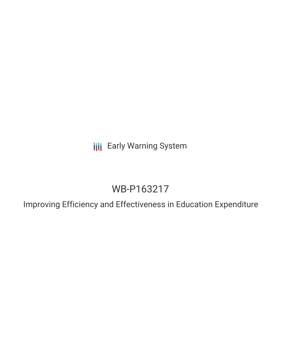**III** Early Warning System

# WB-P163217

Improving Efficiency and Effectiveness in Education Expenditure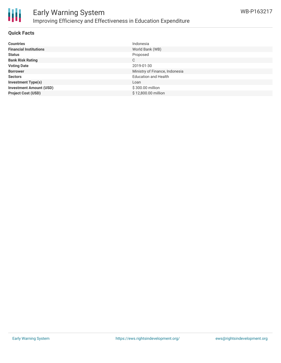

### **Quick Facts**

| <b>Countries</b>               | Indonesia                      |
|--------------------------------|--------------------------------|
| <b>Financial Institutions</b>  | World Bank (WB)                |
| <b>Status</b>                  | Proposed                       |
| <b>Bank Risk Rating</b>        | C                              |
| <b>Voting Date</b>             | 2019-01-30                     |
| <b>Borrower</b>                | Ministry of Finance, Indonesia |
| <b>Sectors</b>                 | <b>Education and Health</b>    |
| <b>Investment Type(s)</b>      | Loan                           |
| <b>Investment Amount (USD)</b> | \$300.00 million               |
| <b>Project Cost (USD)</b>      | \$12,800,00 million            |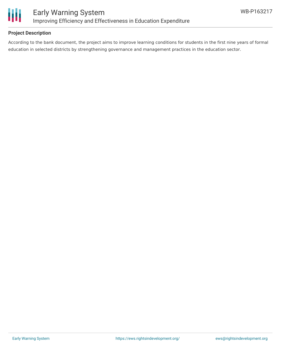

### **Project Description**

According to the bank document, the project aims to improve learning conditions for students in the first nine years of formal education in selected districts by strengthening governance and management practices in the education sector.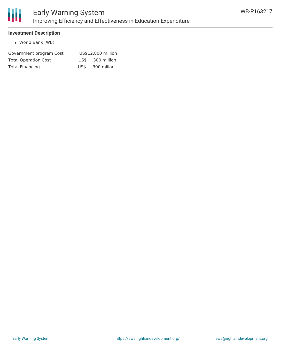

### **Investment Description**

World Bank (WB)

| Government program Cost     | US\$12,800 million |                  |
|-----------------------------|--------------------|------------------|
| <b>Total Operation Cost</b> |                    | US\$ 300 million |
| <b>Total Financing</b>      | US\$               | 300 mliion       |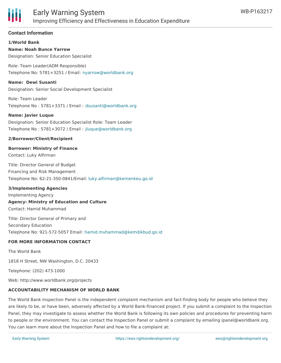

### **Contact Information**

**1/World Bank Name: Noah Bunce Yarrow** Designation: Senior Education Specialist

Role: Team Leader(ADM Responsible) Telephone No: 5781+3251 / Email: [nyarrow@worldbank.org](mailto:nyarrow@worldbank.org)

**Name: Dewi Susanti**

Designation: Senior Social Development Specialist

Role: Team Leader Telephone No : 5781+3371 / Email : [dsusanti@worldbank.org](mailto:dsusanti@worldbank.org)

### **Name: Javier Luque**

Designation: Senior Education Specialist Role: Team Leader Telephone No : 5781+3072 / Email : [jluque@worldbank.org](mailto:jluque@worldbank.org)

### **2/Borrower/Client/Recipient**

### **Borrower: Ministry of Finance**

Contact: Luky Alfirman

Title: Director General of Budget Financing and Risk Management Telephone No: 62-21-350-0841/Email: [luky.alfirman@kemenkeu.go.id](mailto:luky.alfirman@kemenkeu.go.id)

### **3/Implementing Agencies**

Implementing Agency **Agency: Ministry of Education and Culture** Contact: Hamid Muhammad

Title: Director General of Primary and Secondary Education Telephone No: 921-572-5057 Email: [hamid.muhammad@kemdikbud.go.id](mailto:hamid.muhammad@kemdikbud.go.id)

### **FOR MORE INFORMATION CONTACT**

The World Bank

1818 H Street, NW Washington, D.C. 20433

Telephone: (202) 473-1000

Web: http://www.worldbank.org/projects

### **ACCOUNTABILITY MECHANISM OF WORLD BANK**

The World Bank Inspection Panel is the independent complaint mechanism and fact-finding body for people who believe they are likely to be, or have been, adversely affected by a World Bank-financed project. If you submit a complaint to the Inspection Panel, they may investigate to assess whether the World Bank is following its own policies and procedures for preventing harm to people or the environment. You can contact the Inspection Panel or submit a complaint by emailing ipanel@worldbank.org. You can learn more about the Inspection Panel and how to file a complaint at: